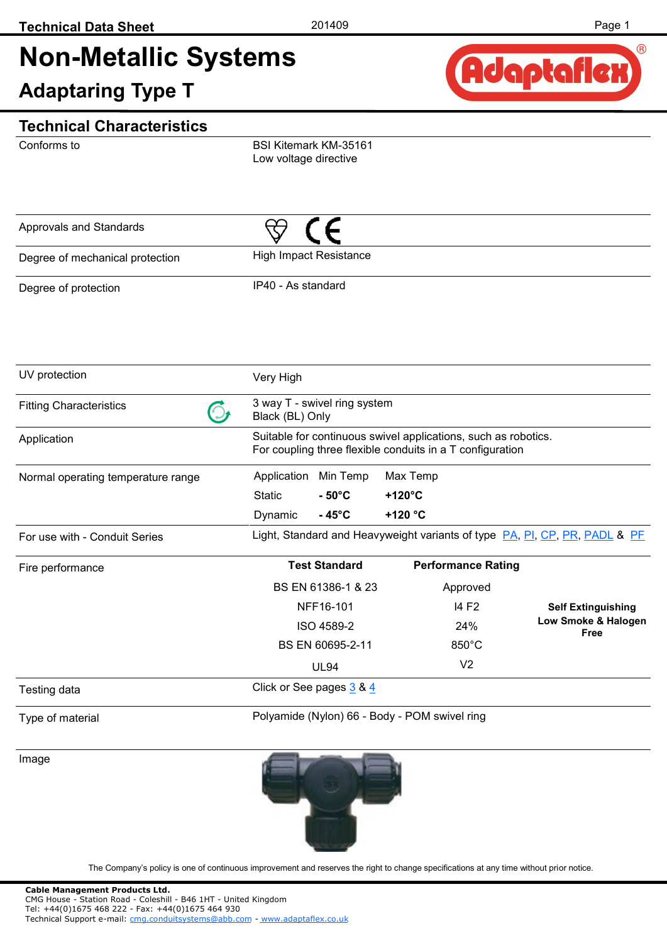# **Non-Metallic Systems**

**Adaptaring Type T** 



#### **Technical Characteristics**

Conforms to

BSI Kitemark KM-35161 Low voltage directive

| Approvals and Standards         |                               |  |
|---------------------------------|-------------------------------|--|
| Degree of mechanical protection | <b>High Impact Resistance</b> |  |
| Degree of protection            | IP40 - As standard            |  |

| UV protection                      | Very High                                                                                                                   |                          |                           |                                                                            |  |  |  |
|------------------------------------|-----------------------------------------------------------------------------------------------------------------------------|--------------------------|---------------------------|----------------------------------------------------------------------------|--|--|--|
| <b>Fitting Characteristics</b>     | 3 way T - swivel ring system<br>Black (BL) Only                                                                             |                          |                           |                                                                            |  |  |  |
| Application                        | Suitable for continuous swivel applications, such as robotics.<br>For coupling three flexible conduits in a T configuration |                          |                           |                                                                            |  |  |  |
| Normal operating temperature range | Application                                                                                                                 | Min Temp<br>Max Temp     |                           |                                                                            |  |  |  |
|                                    | <b>Static</b>                                                                                                               | $-50^{\circ}$ C          | $+120^{\circ}$ C          |                                                                            |  |  |  |
|                                    | Dynamic                                                                                                                     | $-45^{\circ}$ C          | +120 $^{\circ}$ C         |                                                                            |  |  |  |
| For use with - Conduit Series      |                                                                                                                             |                          |                           | Light, Standard and Heavyweight variants of type PA, PI, CP, PR, PADL & PF |  |  |  |
| Fire performance                   |                                                                                                                             | <b>Test Standard</b>     | <b>Performance Rating</b> |                                                                            |  |  |  |
|                                    |                                                                                                                             | BS EN 61386-1 & 23       | Approved                  |                                                                            |  |  |  |
|                                    |                                                                                                                             | NFF16-101                | 14 F <sub>2</sub>         | <b>Self Extinguishing</b>                                                  |  |  |  |
|                                    |                                                                                                                             | ISO 4589-2               | 24%                       | Low Smoke & Halogen<br>Free                                                |  |  |  |
|                                    |                                                                                                                             | BS EN 60695-2-11         | $850^{\circ}$ C           |                                                                            |  |  |  |
|                                    |                                                                                                                             | <b>UL94</b>              | V <sub>2</sub>            |                                                                            |  |  |  |
| Testing data                       |                                                                                                                             | Click or See pages 3 & 4 |                           |                                                                            |  |  |  |
| Type of material                   | Polyamide (Nylon) 66 - Body - POM swivel ring                                                                               |                          |                           |                                                                            |  |  |  |

Image

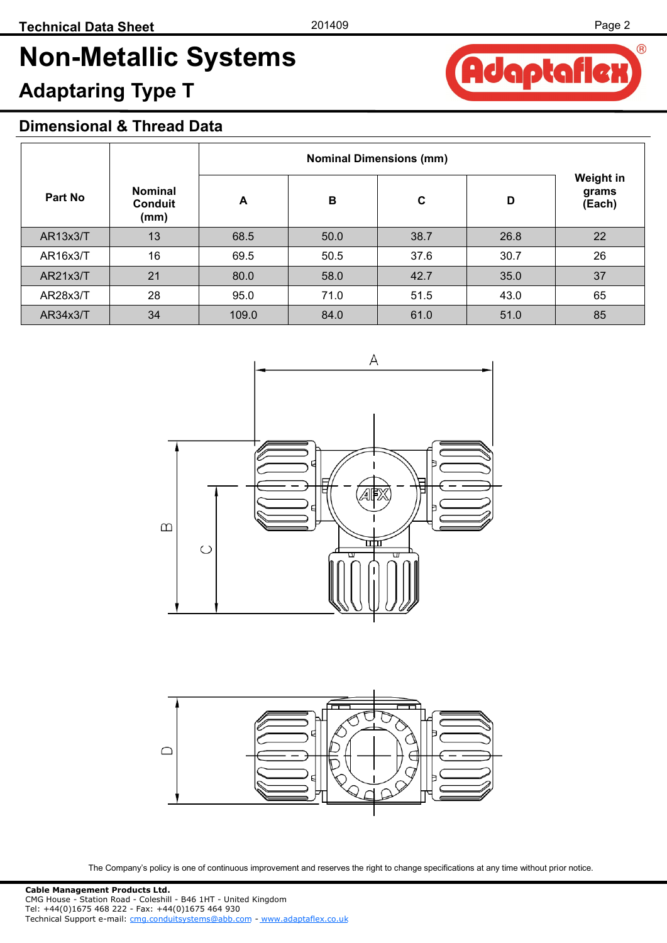**Adaptafle** 

®

# **Non-Metallic Systems**

## **Adaptaring Type T**

#### **Dimensional & Thread Data**

| Part No         | <b>Nominal</b><br><b>Conduit</b><br>(mm) | A     | B    | $\mathbf c$ | D    | Weight in<br>grams<br>(Each) |  |
|-----------------|------------------------------------------|-------|------|-------------|------|------------------------------|--|
| <b>AR13x3/T</b> | 13                                       | 68.5  | 50.0 | 38.7        | 26.8 | 22                           |  |
| AR16x3/T        | 16                                       | 69.5  | 50.5 | 37.6        | 30.7 | 26                           |  |
| AR21x3/T        | 21                                       | 80.0  | 58.0 | 42.7        | 35.0 | 37                           |  |
| AR28x3/T        | 28                                       | 95.0  | 71.0 | 51.5        | 43.0 | 65                           |  |
| AR34x3/T        | 34                                       | 109.0 | 84.0 | 61.0        | 51.0 | 85                           |  |



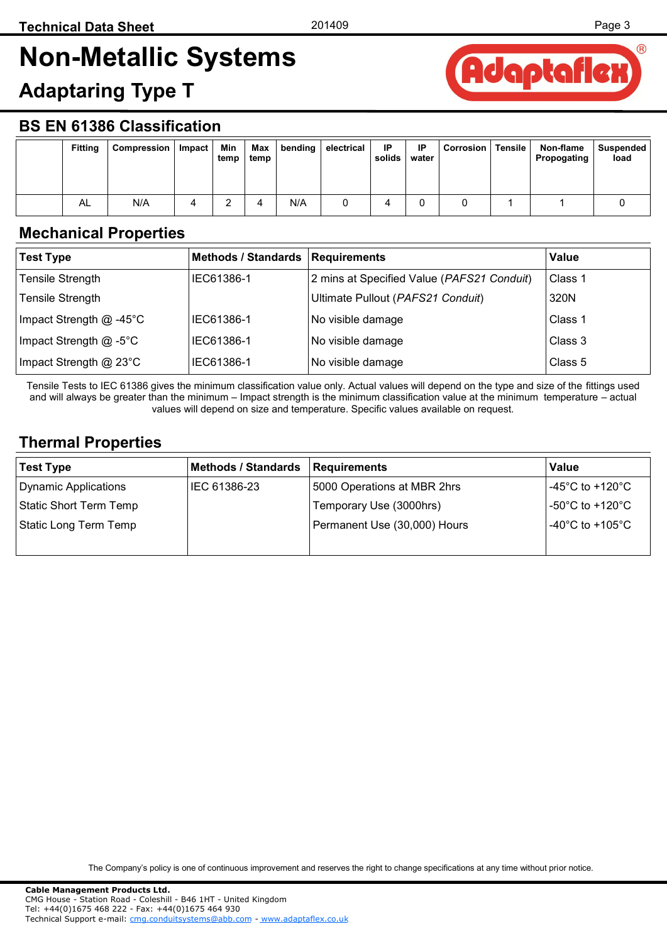## <span id="page-2-0"></span>**Non-Metallic Systems**

### **Adaptaring Type T**



#### **BS EN 61386 Classification**

| <b>Fitting</b> | Compression | Impact | Min<br>temp | Max<br>temp | bending | electrical | IP<br>solids | IP<br>water | <b>Corrosion</b> | <b>Tensile</b> | Non-flame<br>Propogating | Suspended<br>load |
|----------------|-------------|--------|-------------|-------------|---------|------------|--------------|-------------|------------------|----------------|--------------------------|-------------------|
| AL             | N/A         |        |             |             | N/A     |            |              |             |                  |                |                          |                   |

#### **Mechanical Properties**

| <b>Test Type</b>          | Methods / Standards   Requirements |                                            | Value   |
|---------------------------|------------------------------------|--------------------------------------------|---------|
| <b>Tensile Strength</b>   | IEC61386-1                         | 2 mins at Specified Value (PAFS21 Conduit) | Class 1 |
| <b>Tensile Strength</b>   |                                    | Ultimate Pullout (PAFS21 Conduit)          | 320N    |
| Impact Strength $@$ -45°C | IEC61386-1                         | No visible damage                          | Class 1 |
| Impact Strength @ -5°C    | IEC61386-1                         | No visible damage                          | Class 3 |
| Impact Strength @ 23°C    | IEC61386-1                         | No visible damage                          | Class 5 |

Tensile Tests to IEC 61386 gives the minimum classification value only. Actual values will depend on the type and size of the fittings used and will always be greater than the minimum – Impact strength is the minimum classification value at the minimum temperature – actual values will depend on size and temperature. Specific values available on request.

#### **Thermal Properties**

| Test Type              | Methods / Standards | Requirements                 | Value                                |
|------------------------|---------------------|------------------------------|--------------------------------------|
| Dynamic Applications   | IEC 61386-23        | 5000 Operations at MBR 2hrs  | $-45^{\circ}$ C to +120 $^{\circ}$ C |
| Static Short Term Temp |                     | Temporary Use (3000hrs)      | $-50^{\circ}$ C to +120 $^{\circ}$ C |
| Static Long Term Temp  |                     | Permanent Use (30,000) Hours | -40°C to +105°C                      |
|                        |                     |                              |                                      |